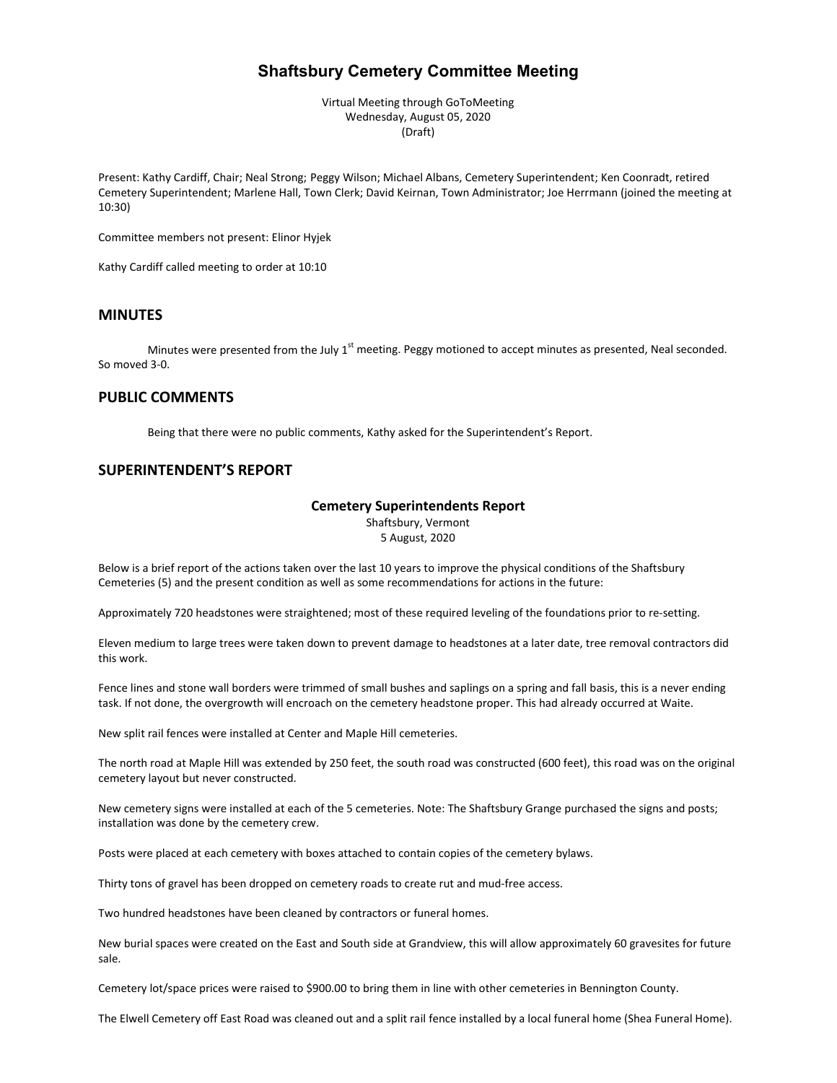# **Shaftsbury Cemetery Committee Meeting**

Virtual Meeting through GoToMeeting Wednesday, August 05, 2020 (Draft)

Present: Kathy Cardiff, Chair; Neal Strong; Peggy Wilson; Michael Albans, Cemetery Superintendent; Ken Coonradt, retired Cemetery Superintendent; Marlene Hall, Town Clerk; David Keirnan, Town Administrator; Joe Herrmann (joined the meeting at 10:30)

Committee members not present: Elinor Hyjek

Kathy Cardiff called meeting to order at 10:10

## **MINUTES**

Minutes were presented from the July 1<sup>st</sup> meeting. Peggy motioned to accept minutes as presented, Neal seconded. So moved 3-0.

### **PUBLIC COMMENTS**

Being that there were no public comments, Kathy asked for the Superintendent's Report.

### **SUPERINTENDENT'S REPORT**

### **Cemetery Superintendents Report**

Shaftsbury, Vermont 5 August, 2020

Below is a brief report of the actions taken over the last 10 years to improve the physical conditions of the Shaftsbury Cemeteries (5) and the present condition as well as some recommendations for actions in the future:

Approximately 720 headstones were straightened; most of these required leveling of the foundations prior to re-setting.

Eleven medium to large trees were taken down to prevent damage to headstones at a later date, tree removal contractors did this work.

Fence lines and stone wall borders were trimmed of small bushes and saplings on a spring and fall basis, this is a never ending task. If not done, the overgrowth will encroach on the cemetery headstone proper. This had already occurred at Waite.

New split rail fences were installed at Center and Maple Hill cemeteries.

The north road at Maple Hill was extended by 250 feet, the south road was constructed (600 feet), this road was on the original cemetery layout but never constructed.

New cemetery signs were installed at each of the 5 cemeteries. Note: The Shaftsbury Grange purchased the signs and posts; installation was done by the cemetery crew.

Posts were placed at each cemetery with boxes attached to contain copies of the cemetery bylaws.

Thirty tons of gravel has been dropped on cemetery roads to create rut and mud-free access.

Two hundred headstones have been cleaned by contractors or funeral homes.

New burial spaces were created on the East and South side at Grandview, this will allow approximately 60 gravesites for future sale.

Cemetery lot/space prices were raised to \$900.00 to bring them in line with other cemeteries in Bennington County.

The Elwell Cemetery off East Road was cleaned out and a split rail fence installed by a local funeral home (Shea Funeral Home).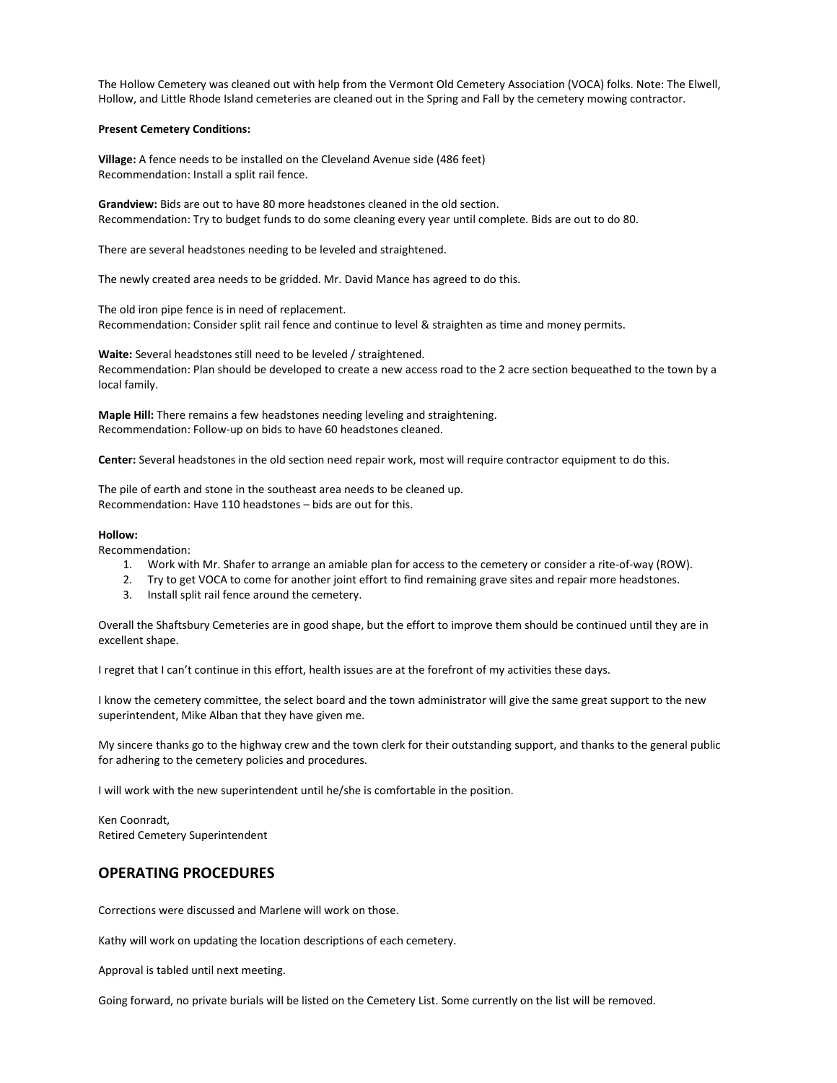The Hollow Cemetery was cleaned out with help from the Vermont Old Cemetery Association (VOCA) folks. Note: The Elwell, Hollow, and Little Rhode Island cemeteries are cleaned out in the Spring and Fall by the cemetery mowing contractor.

#### **Present Cemetery Conditions:**

**Village:** A fence needs to be installed on the Cleveland Avenue side (486 feet) Recommendation: Install a split rail fence.

**Grandview:** Bids are out to have 80 more headstones cleaned in the old section. Recommendation: Try to budget funds to do some cleaning every year until complete. Bids are out to do 80.

There are several headstones needing to be leveled and straightened.

The newly created area needs to be gridded. Mr. David Mance has agreed to do this.

The old iron pipe fence is in need of replacement. Recommendation: Consider split rail fence and continue to level & straighten as time and money permits.

**Waite:** Several headstones still need to be leveled / straightened. Recommendation: Plan should be developed to create a new access road to the 2 acre section bequeathed to the town by a local family.

**Maple Hill:** There remains a few headstones needing leveling and straightening. Recommendation: Follow-up on bids to have 60 headstones cleaned.

**Center:** Several headstones in the old section need repair work, most will require contractor equipment to do this.

The pile of earth and stone in the southeast area needs to be cleaned up. Recommendation: Have 110 headstones – bids are out for this.

#### **Hollow:**

Recommendation:

- 1. Work with Mr. Shafer to arrange an amiable plan for access to the cemetery or consider a rite-of-way (ROW).
- 2. Try to get VOCA to come for another joint effort to find remaining grave sites and repair more headstones.
- 3. Install split rail fence around the cemetery.

Overall the Shaftsbury Cemeteries are in good shape, but the effort to improve them should be continued until they are in excellent shape.

I regret that I can't continue in this effort, health issues are at the forefront of my activities these days.

I know the cemetery committee, the select board and the town administrator will give the same great support to the new superintendent, Mike Alban that they have given me.

My sincere thanks go to the highway crew and the town clerk for their outstanding support, and thanks to the general public for adhering to the cemetery policies and procedures.

I will work with the new superintendent until he/she is comfortable in the position.

Ken Coonradt, Retired Cemetery Superintendent

# **OPERATING PROCEDURES**

Corrections were discussed and Marlene will work on those.

Kathy will work on updating the location descriptions of each cemetery.

Approval is tabled until next meeting.

Going forward, no private burials will be listed on the Cemetery List. Some currently on the list will be removed.